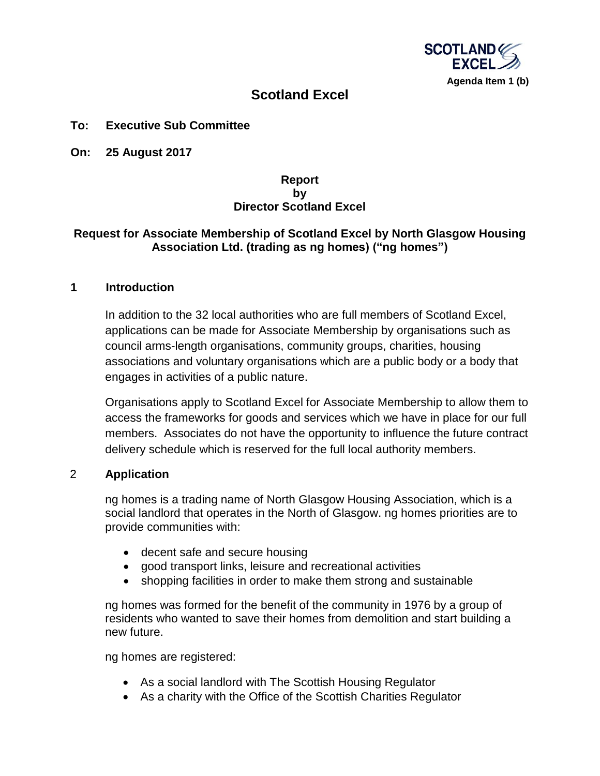

# **Scotland Excel**

### **To: Executive Sub Committee**

**On: 25 August 2017**

## **Report by Director Scotland Excel**

## **Request for Associate Membership of Scotland Excel by North Glasgow Housing Association Ltd. (trading as ng homes) ("ng homes")**

#### **1 Introduction**

In addition to the 32 local authorities who are full members of Scotland Excel, applications can be made for Associate Membership by organisations such as council arms-length organisations, community groups, charities, housing associations and voluntary organisations which are a public body or a body that engages in activities of a public nature.

Organisations apply to Scotland Excel for Associate Membership to allow them to access the frameworks for goods and services which we have in place for our full members. Associates do not have the opportunity to influence the future contract delivery schedule which is reserved for the full local authority members.

#### 2 **Application**

ng homes is a trading name of North Glasgow Housing Association, which is a social landlord that operates in the North of Glasgow. ng homes priorities are to provide communities with:

- decent safe and secure housing
- good transport links, leisure and recreational activities
- shopping facilities in order to make them strong and sustainable

ng homes was formed for the benefit of the community in 1976 by a group of residents who wanted to save their homes from demolition and start building a new future.

ng homes are registered:

- As a social landlord with The Scottish Housing Regulator
- As a charity with the Office of the Scottish Charities Regulator